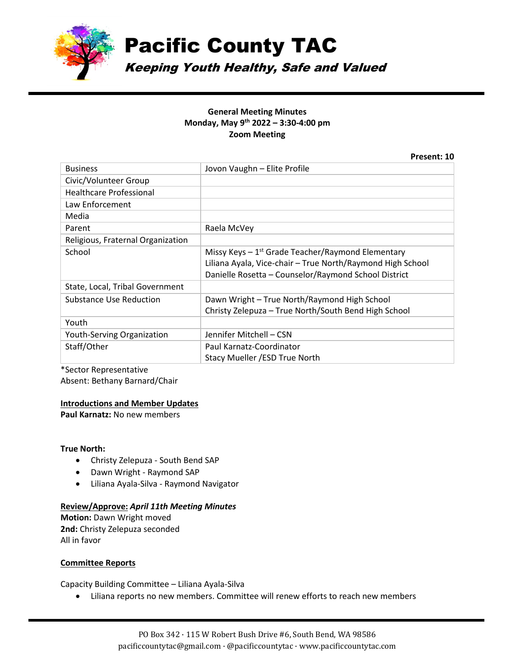

Pacific County TAC

Keeping Youth Healthy, Safe and Valued

# **General Meeting Minutes Monday, May 9th 2022 – 3:30-4:00 pm Zoom Meeting**

**Present: 10**

| <b>Business</b>                   | Jovon Vaughn - Elite Profile                                                                                                                                                |
|-----------------------------------|-----------------------------------------------------------------------------------------------------------------------------------------------------------------------------|
| Civic/Volunteer Group             |                                                                                                                                                                             |
| <b>Healthcare Professional</b>    |                                                                                                                                                                             |
| Law Enforcement                   |                                                                                                                                                                             |
| Media                             |                                                                                                                                                                             |
| Parent                            | Raela McVey                                                                                                                                                                 |
| Religious, Fraternal Organization |                                                                                                                                                                             |
| School                            | Missy Keys $-1^{st}$ Grade Teacher/Raymond Elementary<br>Liliana Ayala, Vice-chair - True North/Raymond High School<br>Danielle Rosetta - Counselor/Raymond School District |
| State, Local, Tribal Government   |                                                                                                                                                                             |
| Substance Use Reduction           | Dawn Wright - True North/Raymond High School<br>Christy Zelepuza - True North/South Bend High School                                                                        |
| Youth                             |                                                                                                                                                                             |
| Youth-Serving Organization        | Jennifer Mitchell - CSN                                                                                                                                                     |
| Staff/Other                       | Paul Karnatz-Coordinator                                                                                                                                                    |
|                                   | Stacy Mueller / ESD True North                                                                                                                                              |

\*Sector Representative Absent: Bethany Barnard/Chair

# **Introductions and Member Updates**

**Paul Karnatz:** No new members

# **True North:**

- Christy Zelepuza South Bend SAP
- Dawn Wright Raymond SAP
- Liliana Ayala-Silva Raymond Navigator

#### **Review/Approve:** *April 11th Meeting Minutes*

**Motion:** Dawn Wright moved **2nd:** Christy Zelepuza seconded All in favor

#### **Committee Reports**

Capacity Building Committee – Liliana Ayala-Silva

• Liliana reports no new members. Committee will renew efforts to reach new members